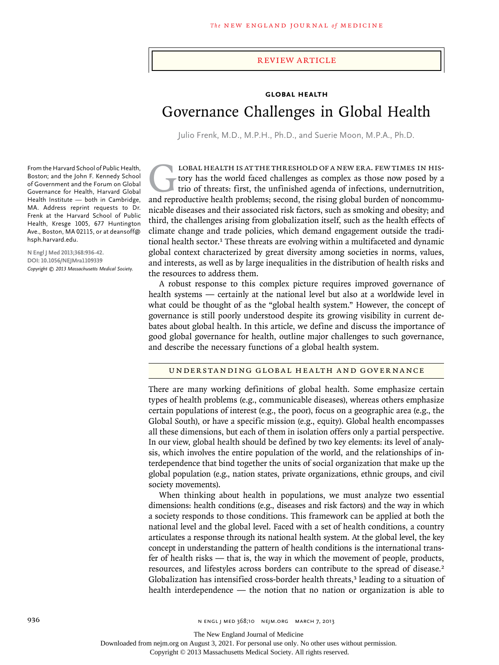#### review article

# **global health** Governance Challenges in Global Health

Julio Frenk, M.D., M.P.H., Ph.D., and Suerie Moon, M.P.A., Ph.D.

LOBAL HEALTH IS AT THE THRESHOLD OF A NEW ERA. FEW TIMES IN HIS-<br>tory has the world faced challenges as complex as those now posed by a<br>trio of threats: first, the unfinished agenda of infections, undernutrition,<br>and repro tory has the world faced challenges as complex as those now posed by a trio of threats: first, the unfinished agenda of infections, undernutrition, and reproductive health problems; second, the rising global burden of noncommunicable diseases and their associated risk factors, such as smoking and obesity; and third, the challenges arising from globalization itself, such as the health effects of climate change and trade policies, which demand engagement outside the traditional health sector.1 These threats are evolving within a multifaceted and dynamic global context characterized by great diversity among societies in norms, values, and interests, as well as by large inequalities in the distribution of health risks and the resources to address them.

A robust response to this complex picture requires improved governance of health systems — certainly at the national level but also at a worldwide level in what could be thought of as the "global health system." However, the concept of governance is still poorly understood despite its growing visibility in current debates about global health. In this article, we define and discuss the importance of good global governance for health, outline major challenges to such governance, and describe the necessary functions of a global health system.

#### UNDER STANDING GLOBAL HEALTH AND GOVERNANCE

There are many working definitions of global health. Some emphasize certain types of health problems (e.g., communicable diseases), whereas others emphasize certain populations of interest (e.g., the poor), focus on a geographic area (e.g., the Global South), or have a specific mission (e.g., equity). Global health encompasses all these dimensions, but each of them in isolation offers only a partial perspective. In our view, global health should be defined by two key elements: its level of analysis, which involves the entire population of the world, and the relationships of interdependence that bind together the units of social organization that make up the global population (e.g., nation states, private organizations, ethnic groups, and civil society movements).

When thinking about health in populations, we must analyze two essential dimensions: health conditions (e.g., diseases and risk factors) and the way in which a society responds to those conditions. This framework can be applied at both the national level and the global level. Faced with a set of health conditions, a country articulates a response through its national health system. At the global level, the key concept in understanding the pattern of health conditions is the international transfer of health risks — that is, the way in which the movement of people, products, resources, and lifestyles across borders can contribute to the spread of disease.<sup>2</sup> Globalization has intensified cross-border health threats,<sup>3</sup> leading to a situation of health interdependence — the notion that no nation or organization is able to

From the Harvard School of Public Health, Boston; and the John F. Kennedy School of Government and the Forum on Global Governance for Health, Harvard Global Health Institute — both in Cambridge, MA. Address reprint requests to Dr. Frenk at the Harvard School of Public Health, Kresge 1005, 677 Huntington Ave., Boston, MA 02115, or at deansoff@ hsph.harvard.edu.

**N Engl J Med 2013;368:936-42. DOI: 10.1056/NEJMra1109339** *Copyright © 2013 Massachusetts Medical Society.*

936 **936** n engl j med 368;10 nejm.org march 7, 2013

The New England Journal of Medicine

Downloaded from nejm.org on August 3, 2021. For personal use only. No other uses without permission.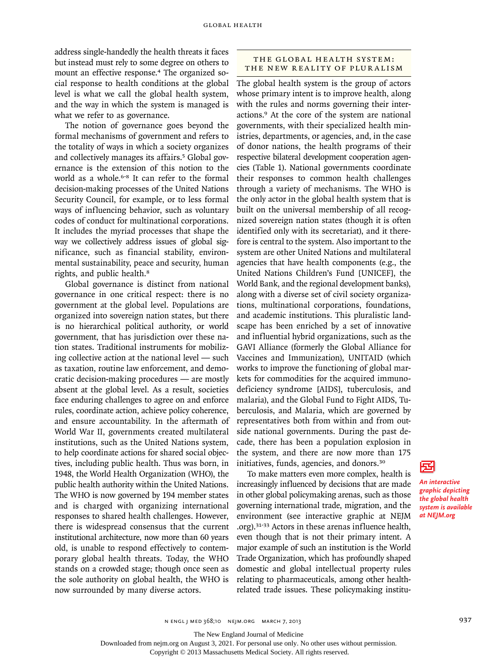address single-handedly the health threats it faces but instead must rely to some degree on others to mount an effective response.4 The organized social response to health conditions at the global level is what we call the global health system, and the way in which the system is managed is what we refer to as governance.

The notion of governance goes beyond the formal mechanisms of government and refers to the totality of ways in which a society organizes and collectively manages its affairs.<sup>5</sup> Global governance is the extension of this notion to the world as a whole.<sup>6-8</sup> It can refer to the formal decision-making processes of the United Nations Security Council, for example, or to less formal ways of influencing behavior, such as voluntary codes of conduct for multinational corporations. It includes the myriad processes that shape the way we collectively address issues of global significance, such as financial stability, environmental sustainability, peace and security, human rights, and public health.<sup>8</sup>

Global governance is distinct from national governance in one critical respect: there is no government at the global level. Populations are organized into sovereign nation states, but there is no hierarchical political authority, or world government, that has jurisdiction over these nation states. Traditional instruments for mobilizing collective action at the national level — such as taxation, routine law enforcement, and democratic decision-making procedures — are mostly absent at the global level. As a result, societies face enduring challenges to agree on and enforce rules, coordinate action, achieve policy coherence, and ensure accountability. In the aftermath of World War II, governments created multilateral institutions, such as the United Nations system, to help coordinate actions for shared social objectives, including public health. Thus was born, in 1948, the World Health Organization (WHO), the public health authority within the United Nations. The WHO is now governed by 194 member states and is charged with organizing international responses to shared health challenges. However, there is widespread consensus that the current institutional architecture, now more than 60 years old, is unable to respond effectively to contemporary global health threats. Today, the WHO stands on a crowded stage; though once seen as the sole authority on global health, the WHO is now surrounded by many diverse actors.

## THE GLOBAL HEALTH SYSTEM: THE NEW REALITY OF PLURALISM

The global health system is the group of actors whose primary intent is to improve health, along with the rules and norms governing their interactions.9 At the core of the system are national governments, with their specialized health ministries, departments, or agencies, and, in the case of donor nations, the health programs of their respective bilateral development cooperation agencies (Table 1). National governments coordinate their responses to common health challenges through a variety of mechanisms. The WHO is the only actor in the global health system that is built on the universal membership of all recognized sovereign nation states (though it is often identified only with its secretariat), and it therefore is central to the system. Also important to the system are other United Nations and multilateral agencies that have health components (e.g., the United Nations Children's Fund [UNICEF], the World Bank, and the regional development banks), along with a diverse set of civil society organizations, multinational corporations, foundations, and academic institutions. This pluralistic landscape has been enriched by a set of innovative and influential hybrid organizations, such as the GAVI Alliance (formerly the Global Alliance for Vaccines and Immunization), UNITAID (which works to improve the functioning of global markets for commodities for the acquired immunodeficiency syndrome [AIDS], tuberculosis, and malaria), and the Global Fund to Fight AIDS, Tuberculosis, and Malaria, which are governed by representatives both from within and from outside national governments. During the past decade, there has been a population explosion in the system, and there are now more than 175 initiatives, funds, agencies, and donors.<sup>30</sup>

To make matters even more complex, health is increasingly influenced by decisions that are made in other global policymaking arenas, such as those governing international trade, migration, and the environment (see interactive graphic at NEJM .org).31-33 Actors in these arenas influence health, even though that is not their primary intent. A major example of such an institution is the World Trade Organization, which has profoundly shaped domestic and global intellectual property rules relating to pharmaceuticals, among other healthrelated trade issues. These policymaking institu-



*An interactive graphic depicting the global health system is available at NEJM.org*

The New England Journal of Medicine

Downloaded from nejm.org on August 3, 2021. For personal use only. No other uses without permission.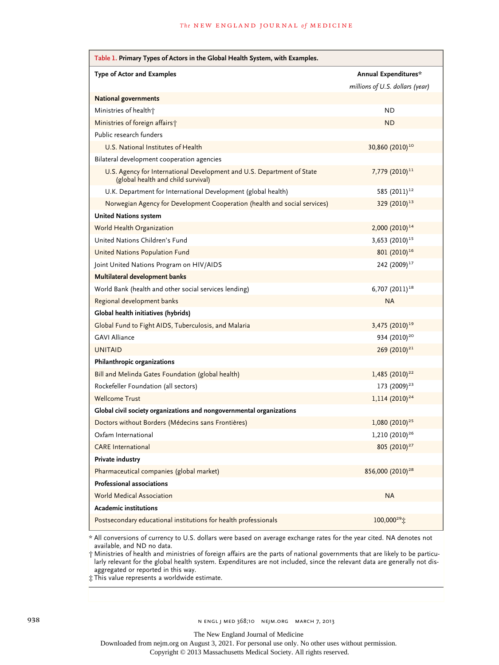| Table 1. Primary Types of Actors in the Global Health System, with Examples.                                 |                                 |
|--------------------------------------------------------------------------------------------------------------|---------------------------------|
| Type of Actor and Examples                                                                                   | Annual Expenditures*            |
|                                                                                                              | millions of U.S. dollars (year) |
| <b>National governments</b>                                                                                  |                                 |
| Ministries of health+                                                                                        | ND                              |
| Ministries of foreign affairs;                                                                               | <b>ND</b>                       |
| Public research funders                                                                                      |                                 |
| U.S. National Institutes of Health                                                                           | 30,860 (2010) <sup>10</sup>     |
| Bilateral development cooperation agencies                                                                   |                                 |
| U.S. Agency for International Development and U.S. Department of State<br>(global health and child survival) | 7,779 (2010) <sup>11</sup>      |
| U.K. Department for International Development (global health)                                                | 585 (2011) <sup>12</sup>        |
| Norwegian Agency for Development Cooperation (health and social services)                                    | 329 (2010) <sup>13</sup>        |
| <b>United Nations system</b>                                                                                 |                                 |
| World Health Organization                                                                                    | $2,000(2010)^{14}$              |
| United Nations Children's Fund                                                                               | 3,653 (2010) <sup>15</sup>      |
| United Nations Population Fund                                                                               | 801 (2010) <sup>16</sup>        |
| Joint United Nations Program on HIV/AIDS                                                                     | 242 (2009) <sup>17</sup>        |
| Multilateral development banks                                                                               |                                 |
| World Bank (health and other social services lending)                                                        | 6,707 (2011) <sup>18</sup>      |
| Regional development banks                                                                                   | <b>NA</b>                       |
| Global health initiatives (hybrids)                                                                          |                                 |
| Global Fund to Fight AIDS, Tuberculosis, and Malaria                                                         | 3,475 (2010) <sup>19</sup>      |
| <b>GAVI Alliance</b>                                                                                         | 934 (2010) <sup>20</sup>        |
| <b>UNITAID</b>                                                                                               | 269 (2010) <sup>21</sup>        |
| Philanthropic organizations                                                                                  |                                 |
| Bill and Melinda Gates Foundation (global health)                                                            | 1,485 (2010) <sup>22</sup>      |
| Rockefeller Foundation (all sectors)                                                                         | 173 (2009) <sup>23</sup>        |
| <b>Wellcome Trust</b>                                                                                        | 1,114 (2010) <sup>24</sup>      |
| Global civil society organizations and nongovernmental organizations                                         |                                 |
| Doctors without Borders (Médecins sans Frontières)                                                           | 1,080 (2010) <sup>25</sup>      |
| Oxfam International                                                                                          | 1,210 (2010) <sup>26</sup>      |
| <b>CARE</b> International                                                                                    | 805 (2010) <sup>27</sup>        |
| Private industry                                                                                             |                                 |
| Pharmaceutical companies (global market)                                                                     | 856,000 (2010) <sup>28</sup>    |
| <b>Professional associations</b>                                                                             |                                 |
| <b>World Medical Association</b>                                                                             | <b>NA</b>                       |
| <b>Academic institutions</b>                                                                                 |                                 |
| Postsecondary educational institutions for health professionals                                              | 100,000 <sup>29</sup> i         |

\* All conversions of currency to U.S. dollars were based on average exchange rates for the year cited. NA denotes not available, and ND no data.

† Ministries of health and ministries of foreign affairs are the parts of national governments that are likely to be particularly relevant for the global health system. Expenditures are not included, since the relevant data are generally not disaggregated or reported in this way.

‡ This value represents a worldwide estimate.

The New England Journal of Medicine

Downloaded from nejm.org on August 3, 2021. For personal use only. No other uses without permission.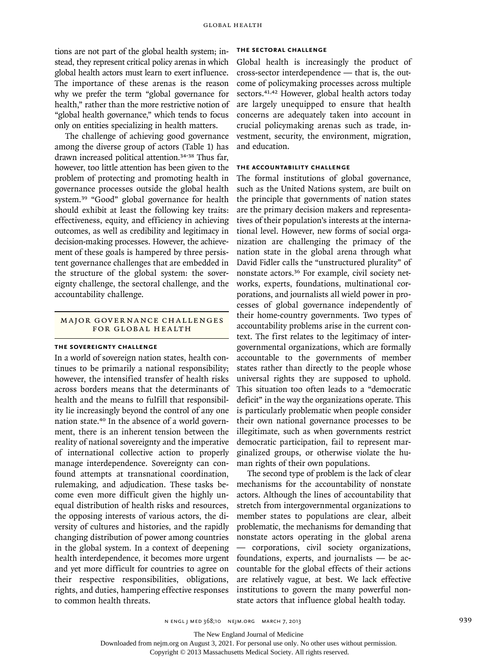tions are not part of the global health system; instead, they represent critical policy arenas in which global health actors must learn to exert influence. The importance of these arenas is the reason why we prefer the term "global governance for health," rather than the more restrictive notion of "global health governance," which tends to focus only on entities specializing in health matters.

The challenge of achieving good governance among the diverse group of actors (Table 1) has drawn increased political attention.<sup>34-38</sup> Thus far, however, too little attention has been given to the problem of protecting and promoting health in governance processes outside the global health system.39 "Good" global governance for health should exhibit at least the following key traits: effectiveness, equity, and efficiency in achieving outcomes, as well as credibility and legitimacy in decision-making processes. However, the achievement of these goals is hampered by three persistent governance challenges that are embedded in the structure of the global system: the sovereignty challenge, the sectoral challenge, and the accountability challenge.

## MAJOR GOVERNANCE CHALLENGES FOR GLOBAL HEALTH

## **The Sovereignty Challenge**

In a world of sovereign nation states, health continues to be primarily a national responsibility; however, the intensified transfer of health risks across borders means that the determinants of health and the means to fulfill that responsibility lie increasingly beyond the control of any one nation state.40 In the absence of a world government, there is an inherent tension between the reality of national sovereignty and the imperative of international collective action to properly manage interdependence. Sovereignty can confound attempts at transnational coordination, rulemaking, and adjudication. These tasks become even more difficult given the highly unequal distribution of health risks and resources, the opposing interests of various actors, the diversity of cultures and histories, and the rapidly changing distribution of power among countries in the global system. In a context of deepening health interdependence, it becomes more urgent and yet more difficult for countries to agree on their respective responsibilities, obligations, rights, and duties, hampering effective responses to common health threats.

## **The Sectoral Challenge**

Global health is increasingly the product of cross-sector interdependence — that is, the outcome of policymaking processes across multiple sectors.<sup>41,42</sup> However, global health actors today are largely unequipped to ensure that health concerns are adequately taken into account in crucial policymaking arenas such as trade, investment, security, the environment, migration, and education.

# **The Accountability Challenge**

The formal institutions of global governance, such as the United Nations system, are built on the principle that governments of nation states are the primary decision makers and representatives of their population's interests at the international level. However, new forms of social organization are challenging the primacy of the nation state in the global arena through what David Fidler calls the "unstructured plurality" of nonstate actors.36 For example, civil society networks, experts, foundations, multinational corporations, and journalists all wield power in processes of global governance independently of their home-country governments. Two types of accountability problems arise in the current context. The first relates to the legitimacy of intergovernmental organizations, which are formally accountable to the governments of member states rather than directly to the people whose universal rights they are supposed to uphold. This situation too often leads to a "democratic deficit" in the way the organizations operate. This is particularly problematic when people consider their own national governance processes to be illegitimate, such as when governments restrict democratic participation, fail to represent marginalized groups, or otherwise violate the human rights of their own populations.

The second type of problem is the lack of clear mechanisms for the accountability of nonstate actors. Although the lines of accountability that stretch from intergovernmental organizations to member states to populations are clear, albeit problematic, the mechanisms for demanding that nonstate actors operating in the global arena — corporations, civil society organizations, foundations, experts, and journalists — be accountable for the global effects of their actions are relatively vague, at best. We lack effective institutions to govern the many powerful nonstate actors that influence global health today.

The New England Journal of Medicine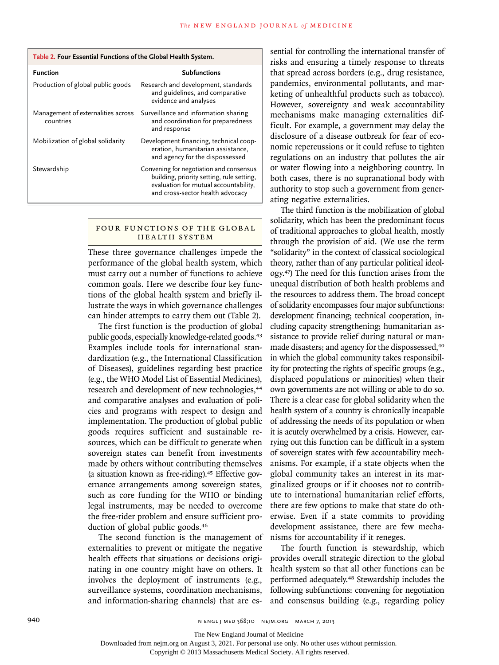|--|

| Research and development, standards<br>and guidelines, and comparative                                                                                            |
|-------------------------------------------------------------------------------------------------------------------------------------------------------------------|
| evidence and analyses                                                                                                                                             |
| Surveillance and information sharing<br>and coordination for preparedness                                                                                         |
| Development financing, technical coop-<br>eration, humanitarian assistance,<br>and agency for the dispossessed                                                    |
| Convening for negotiation and consensus<br>building, priority setting, rule setting,<br>evaluation for mutual accountability,<br>and cross-sector health advocacy |
|                                                                                                                                                                   |

### FOUR FUNCTIONS OF THE GLOBAL HEALTH SYSTEM

These three governance challenges impede the performance of the global health system, which must carry out a number of functions to achieve common goals. Here we describe four key functions of the global health system and briefly illustrate the ways in which governance challenges can hinder attempts to carry them out (Table 2).

The first function is the production of global public goods, especially knowledge-related goods.<sup>43</sup> Examples include tools for international standardization (e.g., the International Classification of Diseases), guidelines regarding best practice (e.g., the WHO Model List of Essential Medicines), research and development of new technologies,<sup>44</sup> and comparative analyses and evaluation of policies and programs with respect to design and implementation. The production of global public goods requires sufficient and sustainable resources, which can be difficult to generate when sovereign states can benefit from investments made by others without contributing themselves (a situation known as free-riding).45 Effective governance arrangements among sovereign states, such as core funding for the WHO or binding legal instruments, may be needed to overcome the free-rider problem and ensure sufficient production of global public goods.<sup>46</sup>

The second function is the management of externalities to prevent or mitigate the negative health effects that situations or decisions originating in one country might have on others. It involves the deployment of instruments (e.g., surveillance systems, coordination mechanisms, and information-sharing channels) that are essential for controlling the international transfer of risks and ensuring a timely response to threats that spread across borders (e.g., drug resistance, pandemics, environmental pollutants, and marketing of unhealthful products such as tobacco). However, sovereignty and weak accountability mechanisms make managing externalities difficult. For example, a government may delay the disclosure of a disease outbreak for fear of economic repercussions or it could refuse to tighten regulations on an industry that pollutes the air or water flowing into a neighboring country. In both cases, there is no supranational body with authority to stop such a government from generating negative externalities.

The third function is the mobilization of global solidarity, which has been the predominant focus of traditional approaches to global health, mostly through the provision of aid. (We use the term "solidarity" in the context of classical sociological theory, rather than of any particular political ideology.47) The need for this function arises from the unequal distribution of both health problems and the resources to address them. The broad concept of solidarity encompasses four major subfunctions: development financing; technical cooperation, including capacity strengthening; humanitarian assistance to provide relief during natural or manmade disasters; and agency for the dispossessed,<sup>40</sup> in which the global community takes responsibility for protecting the rights of specific groups (e.g., displaced populations or minorities) when their own governments are not willing or able to do so. There is a clear case for global solidarity when the health system of a country is chronically incapable of addressing the needs of its population or when it is acutely overwhelmed by a crisis. However, carrying out this function can be difficult in a system of sovereign states with few accountability mechanisms. For example, if a state objects when the global community takes an interest in its marginalized groups or if it chooses not to contribute to international humanitarian relief efforts, there are few options to make that state do otherwise. Even if a state commits to providing development assistance, there are few mechanisms for accountability if it reneges.

The fourth function is stewardship, which provides overall strategic direction to the global health system so that all other functions can be performed adequately.48 Stewardship includes the following subfunctions: convening for negotiation and consensus building (e.g., regarding policy

The New England Journal of Medicine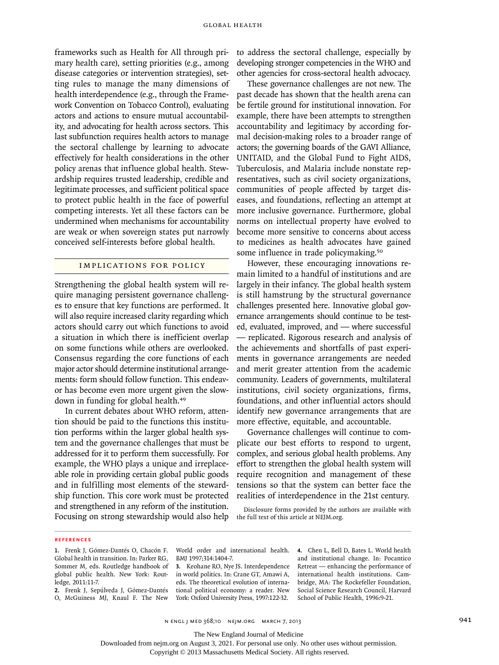frameworks such as Health for All through primary health care), setting priorities (e.g., among disease categories or intervention strategies), setting rules to manage the many dimensions of health interdependence (e.g., through the Framework Convention on Tobacco Control), evaluating actors and actions to ensure mutual accountability, and advocating for health across sectors. This last subfunction requires health actors to manage the sectoral challenge by learning to advocate effectively for health considerations in the other policy arenas that influence global health. Stewardship requires trusted leadership, credible and legitimate processes, and sufficient political space to protect public health in the face of powerful competing interests. Yet all these factors can be undermined when mechanisms for accountability are weak or when sovereign states put narrowly conceived self-interests before global health.

## IMPLICATIONS FOR POLICY

Strengthening the global health system will require managing persistent governance challenges to ensure that key functions are performed. It will also require increased clarity regarding which actors should carry out which functions to avoid a situation in which there is inefficient overlap on some functions while others are overlooked. Consensus regarding the core functions of each major actor should determine institutional arrangements: form should follow function. This endeavor has become even more urgent given the slowdown in funding for global health.<sup>49</sup>

In current debates about WHO reform, attention should be paid to the functions this institution performs within the larger global health system and the governance challenges that must be addressed for it to perform them successfully. For example, the WHO plays a unique and irreplaceable role in providing certain global public goods and in fulfilling most elements of the stewardship function. This core work must be protected and strengthened in any reform of the institution. Focusing on strong stewardship would also help to address the sectoral challenge, especially by developing stronger competencies in the WHO and other agencies for cross-sectoral health advocacy.

These governance challenges are not new. The past decade has shown that the health arena can be fertile ground for institutional innovation. For example, there have been attempts to strengthen accountability and legitimacy by according formal decision-making roles to a broader range of actors; the governing boards of the GAVI Alliance, UNITAID, and the Global Fund to Fight AIDS, Tuberculosis, and Malaria include nonstate representatives, such as civil society organizations, communities of people affected by target diseases, and foundations, reflecting an attempt at more inclusive governance. Furthermore, global norms on intellectual property have evolved to become more sensitive to concerns about access to medicines as health advocates have gained some influence in trade policymaking.<sup>50</sup>

However, these encouraging innovations remain limited to a handful of institutions and are largely in their infancy. The global health system is still hamstrung by the structural governance challenges presented here. Innovative global governance arrangements should continue to be tested, evaluated, improved, and — where successful — replicated. Rigorous research and analysis of the achievements and shortfalls of past experiments in governance arrangements are needed and merit greater attention from the academic community. Leaders of governments, multilateral institutions, civil society organizations, firms, foundations, and other influential actors should identify new governance arrangements that are more effective, equitable, and accountable.

Governance challenges will continue to complicate our best efforts to respond to urgent, complex, and serious global health problems. Any effort to strengthen the global health system will require recognition and management of these tensions so that the system can better face the realities of interdependence in the 21st century.

Disclosure forms provided by the authors are available with the full text of this article at NEJM.org.

#### **References**

**1.** Frenk J, Gómez-Dantés O, Chacón F. Global health in transition. In: Parker RG, Sommer M, eds. Routledge handbook of global public health. New York: Routledge, 2011:11-7.

**2.** Frenk J, Sepúlveda J, Gómez-Dantés O, McGuiness MJ, Knaul F. The New World order and international health. BMJ 1997;314:1404-7.

**3.** Keohane RO, Nye JS. Interdependence in world politics. In: Crane GT, Amawi A, eds. The theoretical evolution of international political economy: a reader. New York: Oxford University Press, 1997:122-32.

**4.** Chen L, Bell D, Bates L. World health and institutional change. In: Pocantico Retreat — enhancing the performance of international health institutions. Cambridge, MA: The Rockefeller Foundation, Social Science Research Council, Harvard School of Public Health, 1996:9-21.

n engl j med 368;10 nejm.org march 7, 2013 941

The New England Journal of Medicine

Downloaded from nejm.org on August 3, 2021. For personal use only. No other uses without permission.